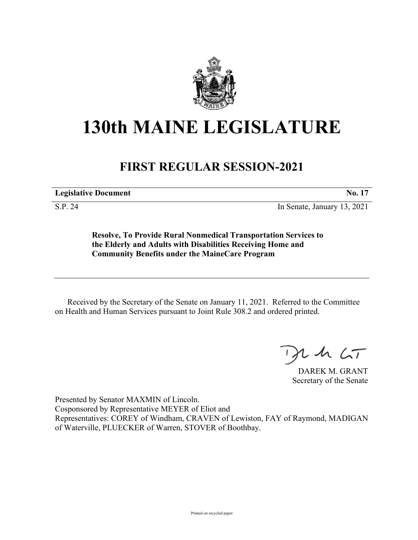

## **130th MAINE LEGISLATURE**

## **FIRST REGULAR SESSION-2021**

**Legislative Document No. 17**

S.P. 24 In Senate, January 13, 2021

**Resolve, To Provide Rural Nonmedical Transportation Services to the Elderly and Adults with Disabilities Receiving Home and Community Benefits under the MaineCare Program**

Received by the Secretary of the Senate on January 11, 2021. Referred to the Committee on Health and Human Services pursuant to Joint Rule 308.2 and ordered printed.

 $2.42 < T$ 

DAREK M. GRANT Secretary of the Senate

Presented by Senator MAXMIN of Lincoln. Cosponsored by Representative MEYER of Eliot and Representatives: COREY of Windham, CRAVEN of Lewiston, FAY of Raymond, MADIGAN of Waterville, PLUECKER of Warren, STOVER of Boothbay.